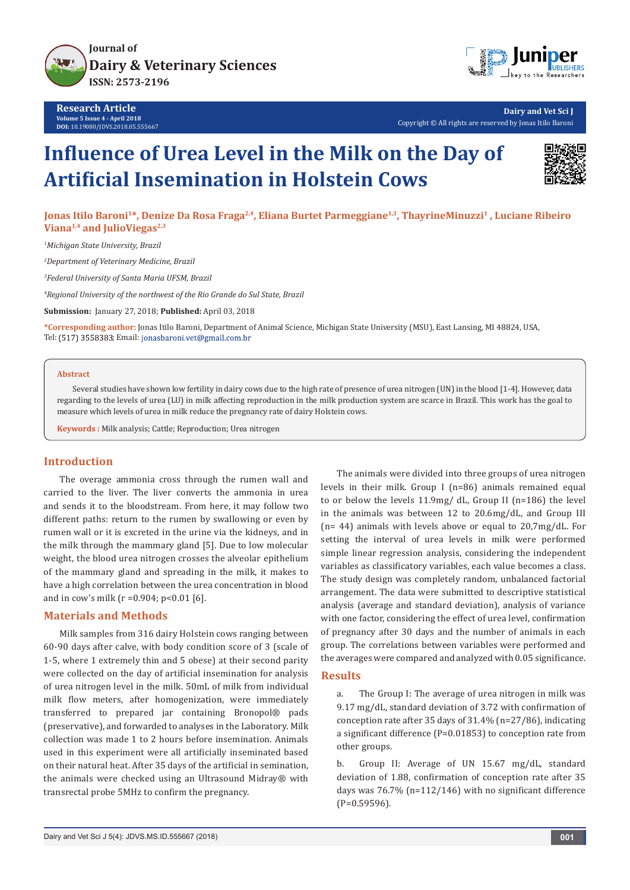

**Research Article Volume 5 Issue 4 - April 2018 DOI:** [10.19080/JDVS.2018.05.555667](http://dx.doi.org/10.19080/JDVS.2018.05.555667)



**Dairy and Vet Sci J** Copyright © All rights are reserved by Jonas Itilo Baroni

# **Influence of Urea Level in the Milk on the Day of Artificial Insemination in Holstein Cows**



**Jonas Itilo Baroni1\*, Denize Da Rosa Fraga2,4, Eliana Burtet Parmeggiane1,3, ThayrineMinuzzi<sup>1</sup> , Luciane Ribeiro**  Viana<sup>1,4</sup> and JulioViegas<sup>2,3</sup>

*1 Michigan State University, Brazil*

*2 Department of Veterinary Medicine, Brazil* 

*3 Federal University of Santa Maria UFSM, Brazil*

*4 Regional University of the northwest of the Rio Grande do Sul State, Brazil*

**Submission:** January 27, 2018; **Published:** April 03, 2018

**\*Corresponding author:** Jonas Itilo Baroni, Department of Animal Science, Michigan State University (MSU), East Lansing, MI 48824, USA, Tel: (517) 3558383; Email: jonasbaroni.vet@gmail.com.br

### **Abstract**

Several studies have shown low fertility in dairy cows due to the high rate of presence of urea nitrogen (UN) in the blood [1-4]. However, data regarding to the levels of urea (LU) in milk affecting reproduction in the milk production system are scarce in Brazil. This work has the goal to measure which levels of urea in milk reduce the pregnancy rate of dairy Holstein cows.

**Keywords :** Milk analysis; Cattle; Reproduction; Urea nitrogen

# **Introduction**

The overage ammonia cross through the rumen wall and carried to the liver. The liver converts the ammonia in urea and sends it to the bloodstream. From here, it may follow two different paths: return to the rumen by swallowing or even by rumen wall or it is excreted in the urine via the kidneys, and in the milk through the mammary gland [5]. Due to low molecular weight, the blood urea nitrogen crosses the alveolar epithelium of the mammary gland and spreading in the milk, it makes to have a high correlation between the urea concentration in blood and in cow's milk (r =0.904; p<0.01 [6].

### **Materials and Methods**

Milk samples from 316 dairy Holstein cows ranging between 60-90 days after calve, with body condition score of 3 (scale of 1-5, where 1 extremely thin and 5 obese) at their second parity were collected on the day of artificial insemination for analysis of urea nitrogen level in the milk. 50mL of milk from individual milk flow meters, after homogenization, were immediately transferred to prepared jar containing Bronopol® pads (preservative), and forwarded to analyses in the Laboratory. Milk collection was made 1 to 2 hours before insemination. Animals used in this experiment were all artificially inseminated based on their natural heat. After 35 days of the artificial in semination, the animals were checked using an Ultrasound Midray® with transrectal probe 5MHz to confirm the pregnancy.

The animals were divided into three groups of urea nitrogen levels in their milk. Group I (n=86) animals remained equal to or below the levels 11.9mg/ dL, Group II (n=186) the level in the animals was between 12 to 20.6mg/dL, and Group III (n= 44) animals with levels above or equal to 20,7mg/dL. For setting the interval of urea levels in milk were performed simple linear regression analysis, considering the independent variables as classificatory variables, each value becomes a class. The study design was completely random, unbalanced factorial arrangement. The data were submitted to descriptive statistical analysis (average and standard deviation), analysis of variance with one factor, considering the effect of urea level, confirmation of pregnancy after 30 days and the number of animals in each group. The correlations between variables were performed and the averages were compared and analyzed with 0.05 significance.

# **Results**

a. The Group I: The average of urea nitrogen in milk was 9.17 mg/dL, standard deviation of 3.72 with confirmation of conception rate after 35 days of 31.4% (n=27/86), indicating a significant difference (P=0.01853) to conception rate from other groups.

b. Group II: Average of UN 15.67 mg/dL, standard deviation of 1.88, confirmation of conception rate after 35 days was 76.7% (n=112/146) with no significant difference (P=0.59596).